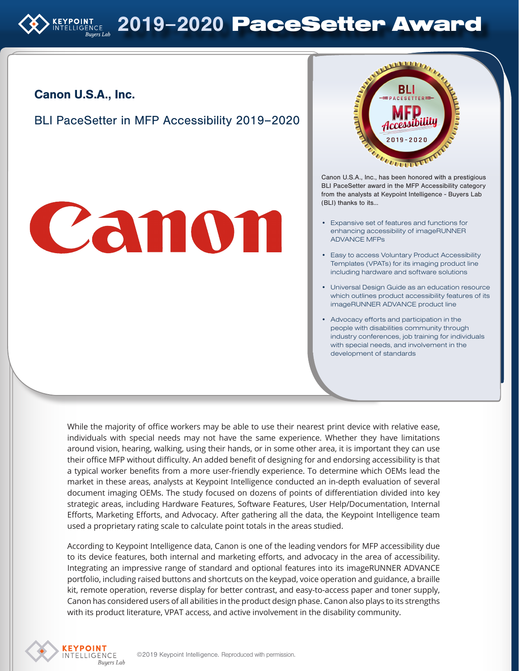### Canon U.S.A., Inc.

BLI PaceSetter in MFP Accessibility 2019–2020

# Canon



Canon U.S.A., Inc., has been honored with a prestigious BLI PaceSetter award in the MFP Accessibility category from the analysts at Keypoint Intelligence - Buyers Lab (BLI) thanks to its…

- Expansive set of features and functions for enhancing accessibility of imageRUNNER ADVANCE MFPs
- Easy to access Voluntary Product Accessibility Templates (VPATs) for its imaging product line including hardware and software solutions
- Universal Design Guide as an education resource which outlines product accessibility features of its imageRUNNER ADVANCE product line
- Advocacy efforts and participation in the people with disabilities community through industry conferences, job training for individuals with special needs, and involvement in the development of standards

While the majority of office workers may be able to use their nearest print device with relative ease, individuals with special needs may not have the same experience. Whether they have limitations around vision, hearing, walking, using their hands, or in some other area, it is important they can use their office MFP without difficulty. An added benefit of designing for and endorsing accessibility is that a typical worker benefits from a more user-friendly experience. To determine which OEMs lead the market in these areas, analysts at Keypoint Intelligence conducted an in-depth evaluation of several document imaging OEMs. The study focused on dozens of points of differentiation divided into key strategic areas, including Hardware Features, Software Features, User Help/Documentation, Internal Efforts, Marketing Efforts, and Advocacy. After gathering all the data, the Keypoint Intelligence team used a proprietary rating scale to calculate point totals in the areas studied.

According to Keypoint Intelligence data, Canon is one of the leading vendors for MFP accessibility due to its device features, both internal and marketing efforts, and advocacy in the area of accessibility. Integrating an impressive range of standard and optional features into its imageRUNNER ADVANCE portfolio, including raised buttons and shortcuts on the keypad, voice operation and guidance, a braille kit, remote operation, reverse display for better contrast, and easy-to-access paper and toner supply, Canon has considered users of all abilities in the product design phase. Canon also plays to its strengths with its product literature, VPAT access, and active involvement in the disability community.